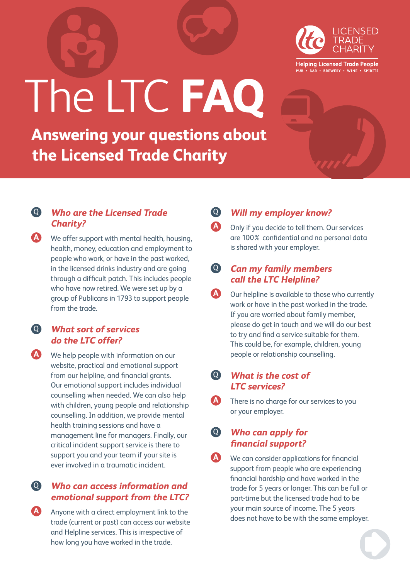

**Helping Licensed Trade People** PUB . BAR . BREWERY . WINE . SPIRITS

# The LTC **FAQ**

**Answering your questions about the Licensed Trade Charity**

#### Q **Who are the Licensed Trade Charity?**

**A** We offer support with mental health, housing, health, money, education and employment to people who work, or have in the past worked, in the licensed drinks industry and are going through a difficult patch. This includes people who have now retired. We were set up by a group of Publicans in 1793 to support people from the trade.

#### Q **What sort of services do the LTC offer?**

**A** We help people with information on our website, practical and emotional support from our helpline, and financial grants. Our emotional support includes individual counselling when needed. We can also help with children, young people and relationship counselling. In addition, we provide mental health training sessions and have a management line for managers. Finally, our critical incident support service is there to support you and your team if your site is ever involved in a traumatic incident.

#### Q **Who can access information and emotional support from the LTC?**

**A** Anyone with a direct employment link to the trade (current or past) can access our website and Helpline services. This is irrespective of how long you have worked in the trade.

### Q **Will my employer know?**

**A** Only if you decide to tell them. Our services are 100% confidential and no personal data is shared with your employer.

#### Q **Can my family members call the LTC Helpline?**

**A** Our helpline is available to those who currently work or have in the past worked in the trade. If you are worried about family member, please do get in touch and we will do our best to try and find a service suitable for them. This could be, for example, children, young people or relationship counselling.

#### Q **What is the cost of LTC services?**

**A** There is no charge for our services to you or your employer.

#### Q **Who can apply for financial support?**

**A** We can consider applications for financial support from people who are experiencing financial hardship and have worked in the trade for 5 years or longer. This can be full or part-time but the licensed trade had to be your main source of income. The 5 years does not have to be with the same employer.